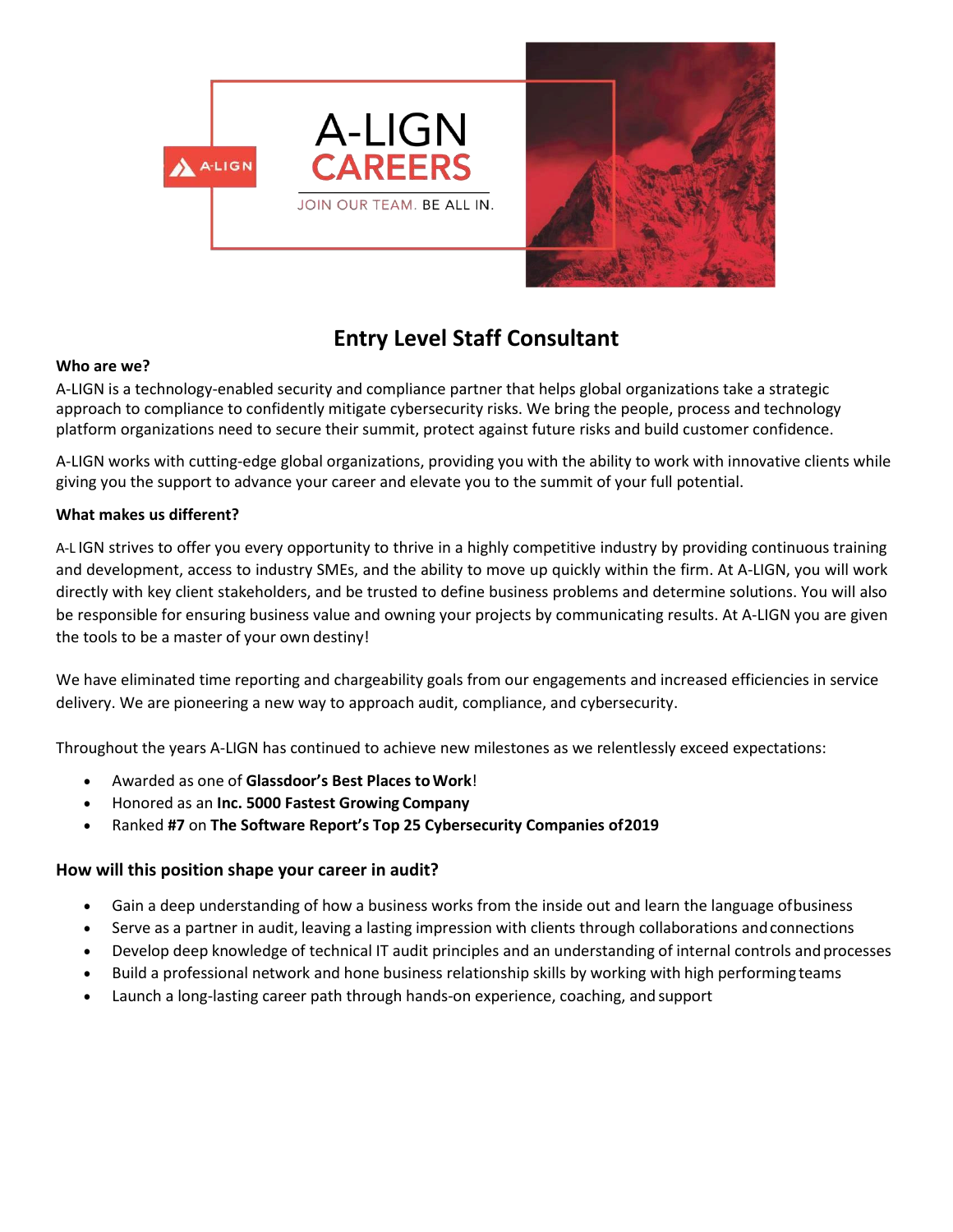

# **Entry Level Staff Consultant**

#### **Who are we?**

A-LIGN is a technology-enabled security and compliance partner that helps global organizations take a strategic approach to compliance to confidently mitigate cybersecurity risks. We bring the people, process and technology platform organizations need to secure their summit, protect against future risks and build customer confidence.

A-LIGN works with cutting-edge global organizations, providing you with the ability to work with innovative clients while giving you the support to advance your career and elevate you to the summit of your full potential.

#### **What makes us different?**

A-L IGN strives to offer you every opportunity to thrive in a highly competitive industry by providing continuous training and development, access to industry SMEs, and the ability to move up quickly within the firm. At A-LIGN, you will work directly with key client stakeholders, and be trusted to define business problems and determine solutions. You will also be responsible for ensuring business value and owning your projects by communicating results. At A-LIGN you are given the tools to be a master of your own destiny!

We have eliminated time reporting and chargeability goals from our engagements and increased efficiencies in service delivery. We are pioneering a new way to approach audit, compliance, and cybersecurity.

Throughout the years A-LIGN has continued to achieve new milestones as we relentlessly exceed expectations:

- Awarded as one of **Glassdoor's Best Places toWork**!
- Honored as an **Inc. 5000 Fastest Growing Company**
- Ranked **#7** on **The Software Report's Top 25 Cybersecurity Companies of2019**

### **How will this position shape your career in audit?**

- Gain a deep understanding of how a business works from the inside out and learn the language ofbusiness
- Serve as a partner in audit, leaving a lasting impression with clients through collaborations andconnections
- Develop deep knowledge of technical IT audit principles and an understanding of internal controls andprocesses
- Build a professional network and hone business relationship skills by working with high performingteams
- Launch a long-lasting career path through hands-on experience, coaching, and support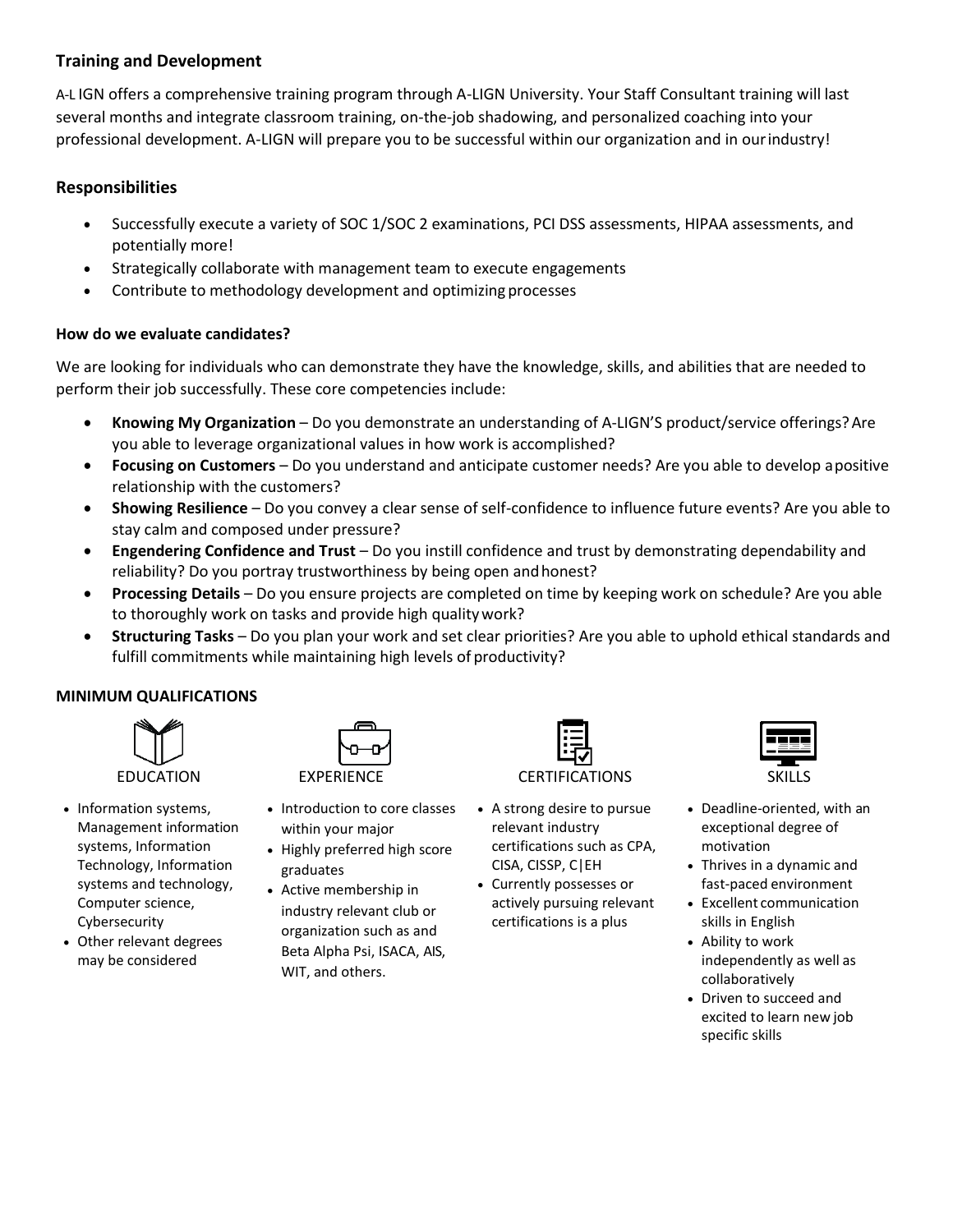# **Training and Development**

A-L IGN offers a comprehensive training program through A-LIGN University. Your Staff Consultant training will last several months and integrate classroom training, on-the-job shadowing, and personalized coaching into your professional development. A-LIGN will prepare you to be successful within our organization and in ourindustry!

## **Responsibilities**

- Successfully execute a variety of SOC 1/SOC 2 examinations, PCI DSS assessments, HIPAA assessments, and potentially more!
- Strategically collaborate with management team to execute engagements
- Contribute to methodology development and optimizing processes

### **How do we evaluate candidates?**

We are looking for individuals who can demonstrate they have the knowledge, skills, and abilities that are needed to perform their job successfully. These core competencies include:

- **Knowing My Organization** Do you demonstrate an understanding of A-LIGN'S product/service offerings?Are you able to leverage organizational values in how work is accomplished?
- **Focusing on Customers**  Do you understand and anticipate customer needs? Are you able to develop apositive relationship with the customers?
- **Showing Resilience**  Do you convey a clear sense of self-confidence to influence future events? Are you able to stay calm and composed under pressure?
- **Engendering Confidence and Trust**  Do you instill confidence and trust by demonstrating dependability and reliability? Do you portray trustworthiness by being open andhonest?
- **Processing Details** Do you ensure projects are completed on time by keeping work on schedule? Are you able to thoroughly work on tasks and provide high qualitywork?
- **Structuring Tasks**  Do you plan your work and set clear priorities? Are you able to uphold ethical standards and fulfill commitments while maintaining high levels of productivity?

### **MINIMUM QUALIFICATIONS**



- Information systems, Management information systems, Information Technology, Information systems and technology, Computer science, Cybersecurity
- Other relevant degrees may be considered

| (PERIENC<br>۲ |
|---------------|

- Introduction to core classes within your major
- Highly preferred high score graduates
- Active membership in industry relevant club or organization such as and Beta Alpha Psi, ISACA, AIS, WIT, and others.

- A strong desire to pursue relevant industry certifications such as CPA, CISA, CISSP, C|EH
- Currently possesses or actively pursuing relevant certifications is a plus



- Deadline-oriented, with an exceptional degree of motivation
- Thrives in a dynamic and fast-paced environment
- Excellent communication skills in English
- Ability to work independently as well as collaboratively
- Driven to succeed and excited to learn new job specific skills